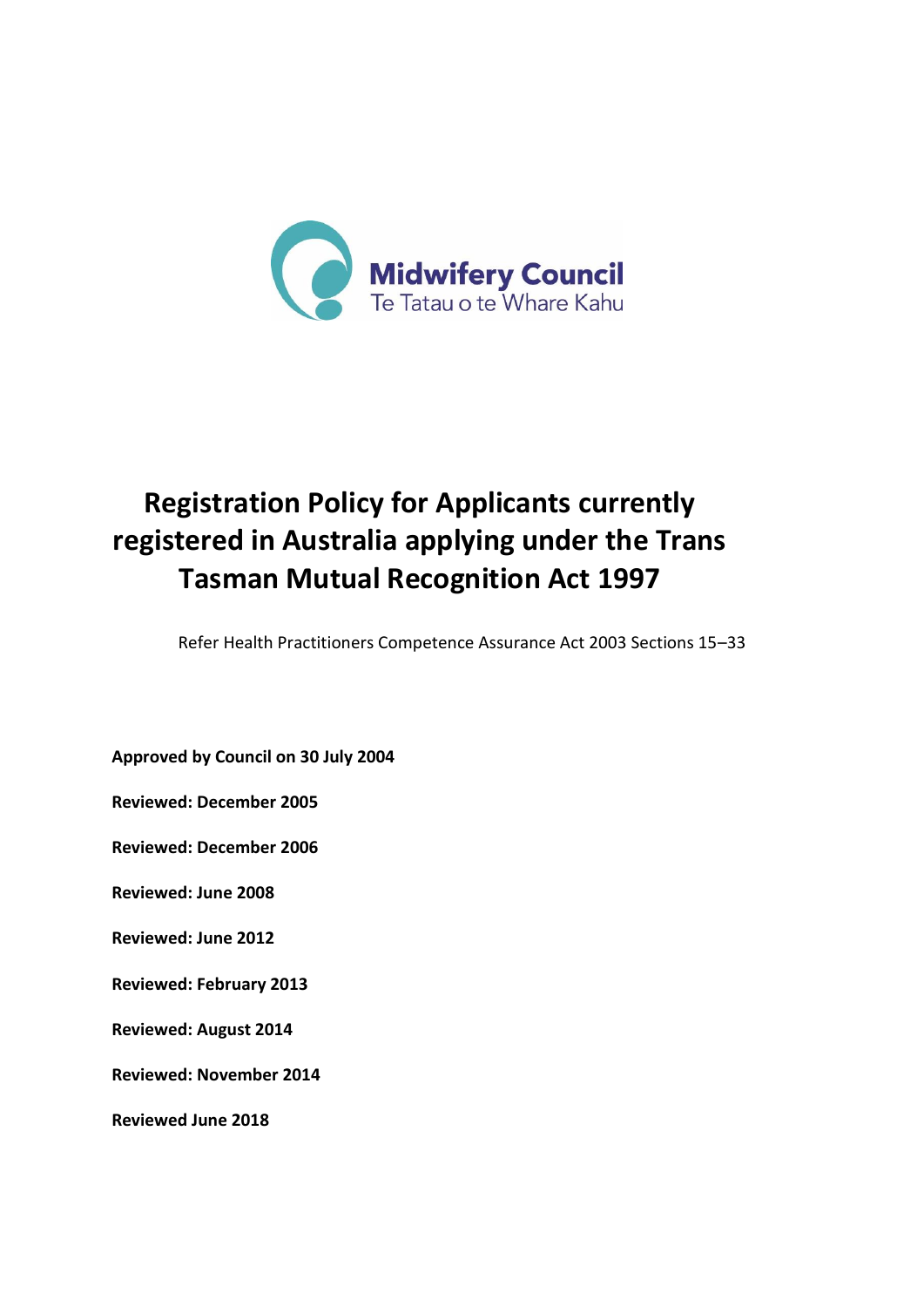

# **Registration Policy for Applicants currently registered in Australia applying under the Trans Tasman Mutual Recognition Act 1997**

Refer Health Practitioners Competence Assurance Act 2003 Sections 15–33

**Approved by Council on 30 July 2004**

**Reviewed: December 2005**

**Reviewed: December 2006**

**Reviewed: June 2008**

**Reviewed: June 2012**

**Reviewed: February 2013**

**Reviewed: August 2014**

**Reviewed: November 2014**

**Reviewed June 2018**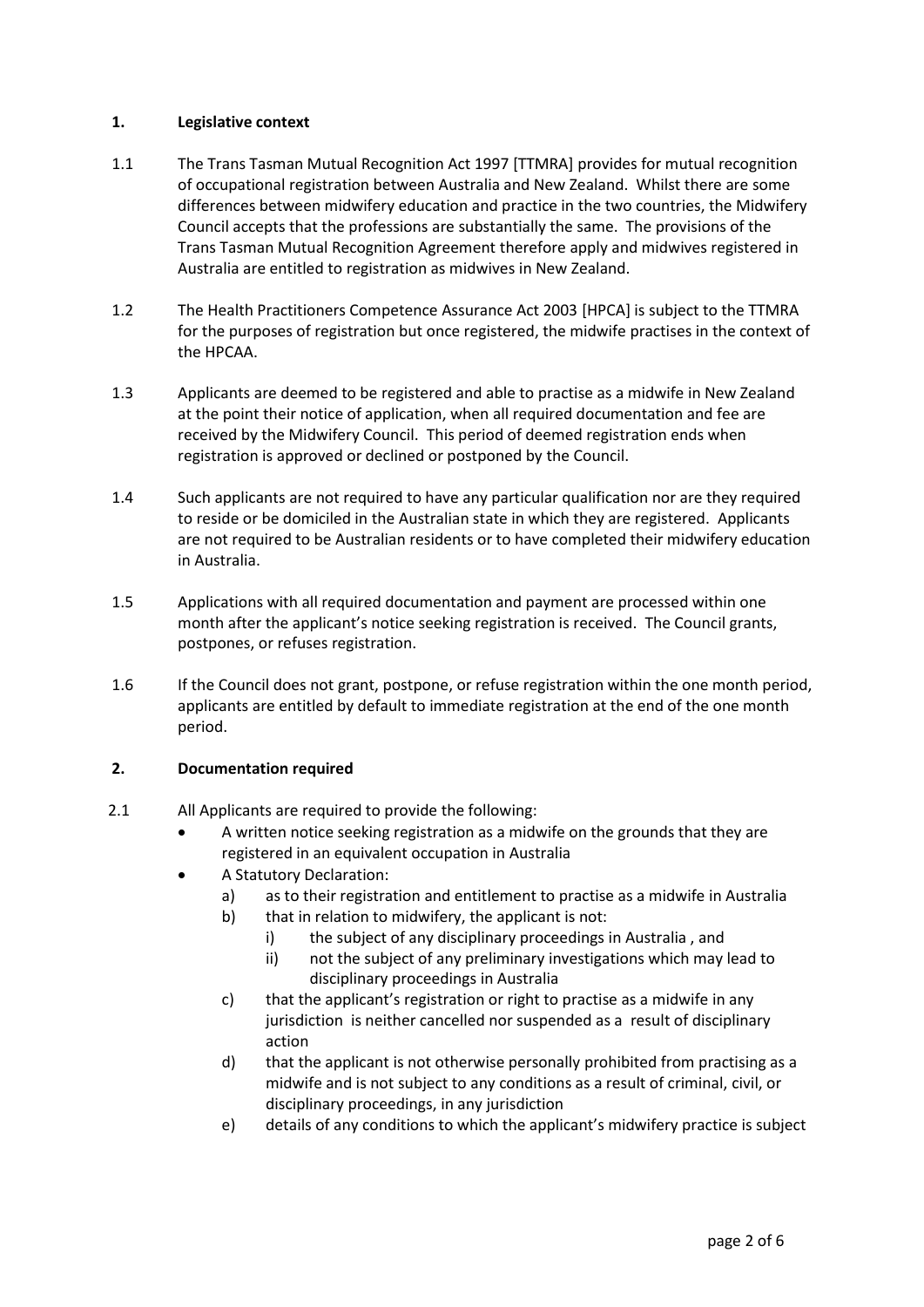## **1. Legislative context**

- 1.1 The Trans Tasman Mutual Recognition Act 1997 [TTMRA] provides for mutual recognition of occupational registration between Australia and New Zealand. Whilst there are some differences between midwifery education and practice in the two countries, the Midwifery Council accepts that the professions are substantially the same. The provisions of the Trans Tasman Mutual Recognition Agreement therefore apply and midwives registered in Australia are entitled to registration as midwives in New Zealand.
- 1.2 The Health Practitioners Competence Assurance Act 2003 [HPCA] is subject to the TTMRA for the purposes of registration but once registered, the midwife practises in the context of the HPCAA.
- 1.3 Applicants are deemed to be registered and able to practise as a midwife in New Zealand at the point their notice of application, when all required documentation and fee are received by the Midwifery Council. This period of deemed registration ends when registration is approved or declined or postponed by the Council.
- 1.4 Such applicants are not required to have any particular qualification nor are they required to reside or be domiciled in the Australian state in which they are registered. Applicants are not required to be Australian residents or to have completed their midwifery education in Australia.
- 1.5 Applications with all required documentation and payment are processed within one month after the applicant's notice seeking registration is received. The Council grants, postpones, or refuses registration.
- 1.6 If the Council does not grant, postpone, or refuse registration within the one month period, applicants are entitled by default to immediate registration at the end of the one month period.

# **2. Documentation required**

- 2.1 All Applicants are required to provide the following:
	- A written notice seeking registration as a midwife on the grounds that they are registered in an equivalent occupation in Australia
	- A Statutory Declaration:
		- a) as to their registration and entitlement to practise as a midwife in Australia
		- b) that in relation to midwifery, the applicant is not:
			- i) the subject of any disciplinary proceedings in Australia, and
			- ii) not the subject of any preliminary investigations which may lead to disciplinary proceedings in Australia
		- c) that the applicant's registration or right to practise as a midwife in any jurisdiction is neither cancelled nor suspended as a result of disciplinary action
		- d) that the applicant is not otherwise personally prohibited from practising as a midwife and is not subject to any conditions as a result of criminal, civil, or disciplinary proceedings, in any jurisdiction
		- e) details of any conditions to which the applicant's midwifery practice is subject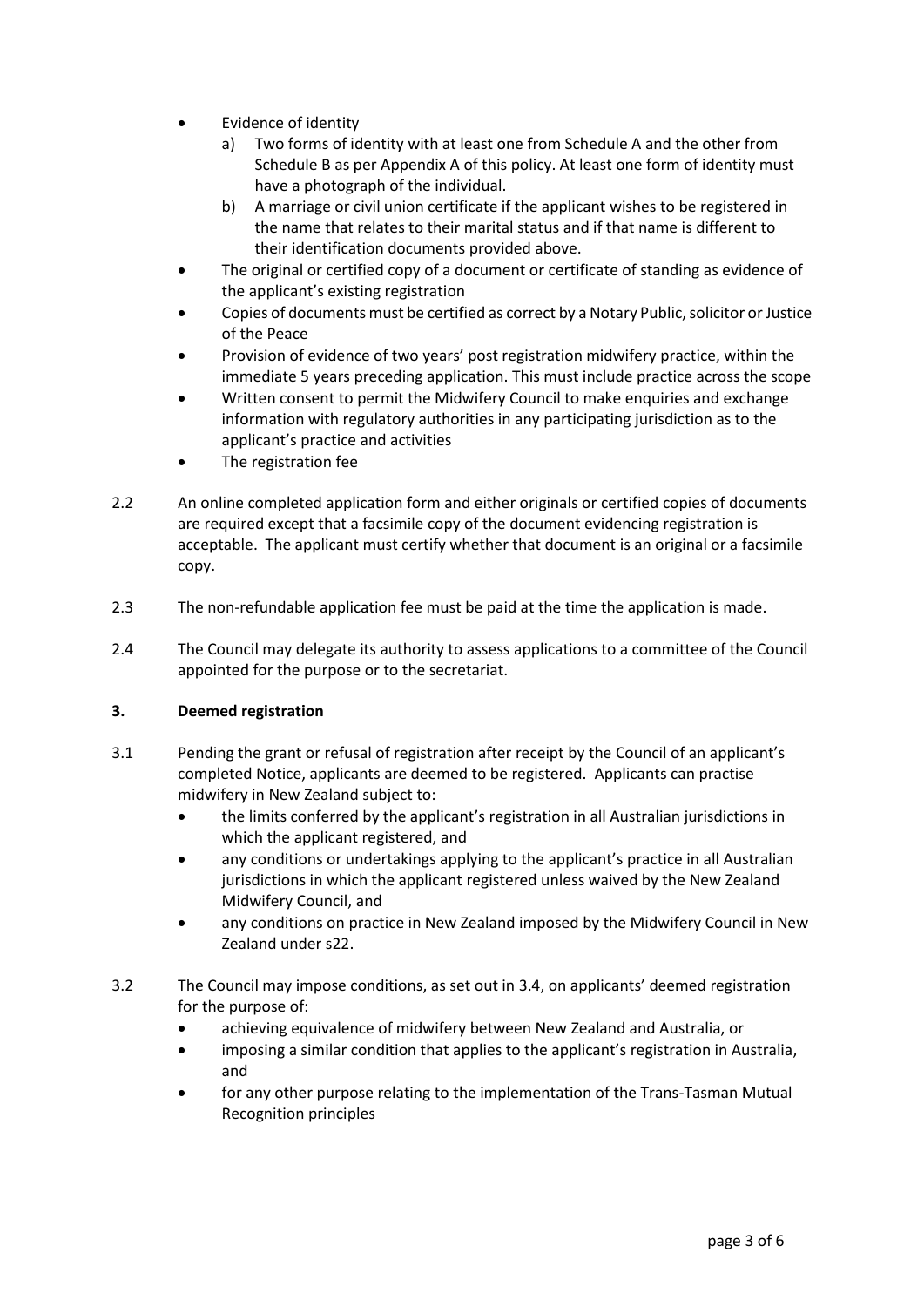- Evidence of identity
	- a) Two forms of identity with at least one from Schedule A and the other from Schedule B as per Appendix A of this policy. At least one form of identity must have a photograph of the individual.
	- b) A marriage or civil union certificate if the applicant wishes to be registered in the name that relates to their marital status and if that name is different to their identification documents provided above.
- The original or certified copy of a document or certificate of standing as evidence of the applicant's existing registration
- Copies of documents must be certified as correct by a Notary Public, solicitor or Justice of the Peace
- Provision of evidence of two years' post registration midwifery practice, within the immediate 5 years preceding application. This must include practice across the scope
- Written consent to permit the Midwifery Council to make enquiries and exchange information with regulatory authorities in any participating jurisdiction as to the applicant's practice and activities
- The registration fee
- 2.2 An online completed application form and either originals or certified copies of documents are required except that a facsimile copy of the document evidencing registration is acceptable. The applicant must certify whether that document is an original or a facsimile copy.
- 2.3 The non-refundable application fee must be paid at the time the application is made.
- 2.4 The Council may delegate its authority to assess applications to a committee of the Council appointed for the purpose or to the secretariat.

# **3. Deemed registration**

- 3.1 Pending the grant or refusal of registration after receipt by the Council of an applicant's completed Notice, applicants are deemed to be registered. Applicants can practise midwifery in New Zealand subject to:
	- the limits conferred by the applicant's registration in all Australian jurisdictions in which the applicant registered, and
	- any conditions or undertakings applying to the applicant's practice in all Australian jurisdictions in which the applicant registered unless waived by the New Zealand Midwifery Council, and
	- any conditions on practice in New Zealand imposed by the Midwifery Council in New Zealand under s22.
- 3.2 The Council may impose conditions, as set out in 3.4, on applicants' deemed registration for the purpose of:
	- achieving equivalence of midwifery between New Zealand and Australia, or
	- imposing a similar condition that applies to the applicant's registration in Australia, and
	- for any other purpose relating to the implementation of the Trans-Tasman Mutual Recognition principles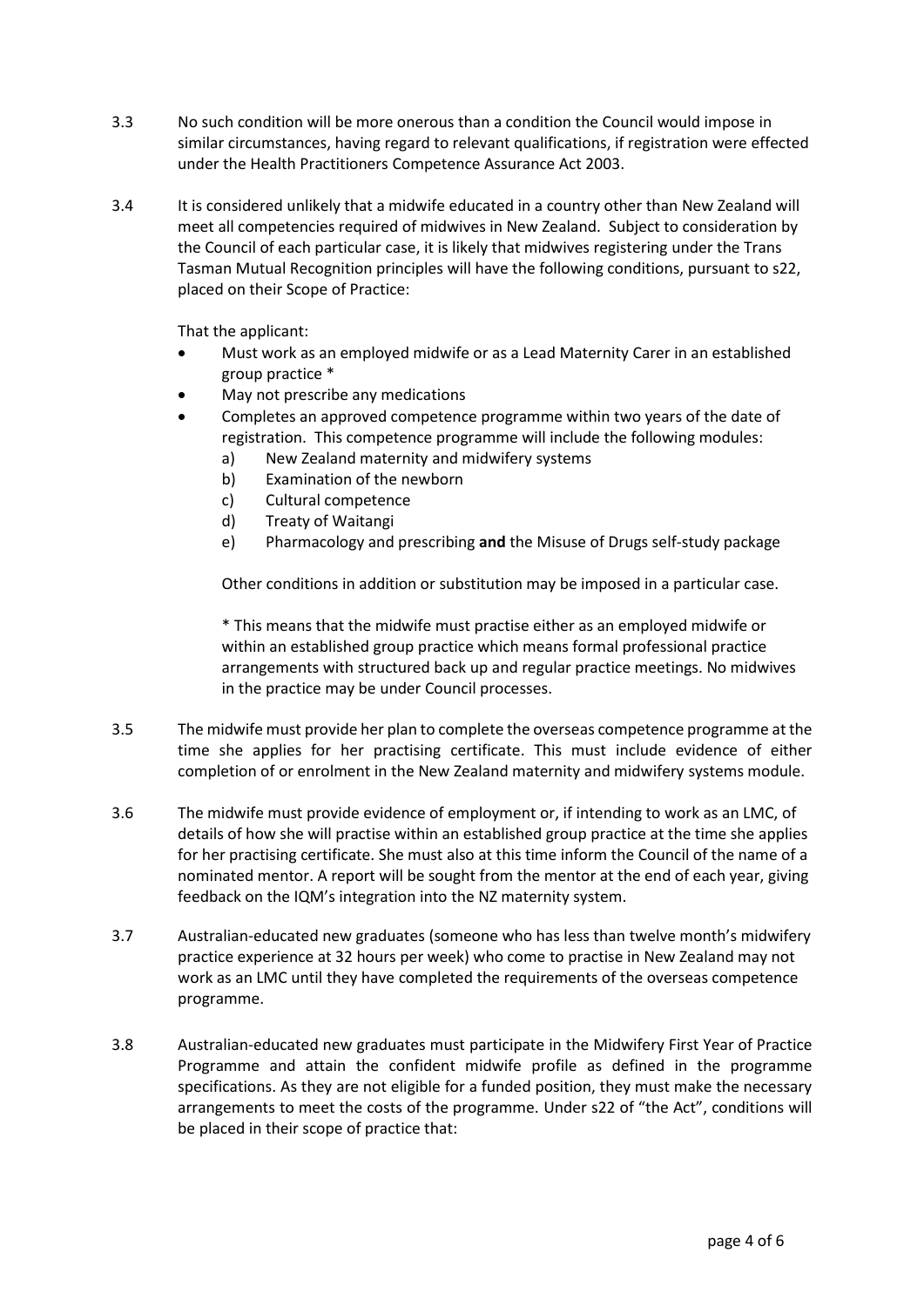- 3.3 No such condition will be more onerous than a condition the Council would impose in similar circumstances, having regard to relevant qualifications, if registration were effected under the Health Practitioners Competence Assurance Act 2003.
- 3.4 It is considered unlikely that a midwife educated in a country other than New Zealand will meet all competencies required of midwives in New Zealand. Subject to consideration by the Council of each particular case, it is likely that midwives registering under the Trans Tasman Mutual Recognition principles will have the following conditions, pursuant to s22, placed on their Scope of Practice:

That the applicant:

- Must work as an employed midwife or as a Lead Maternity Carer in an established group practice \*
- May not prescribe any medications
- Completes an approved competence programme within two years of the date of registration. This competence programme will include the following modules:
	- a) New Zealand maternity and midwifery systems
	- b) Examination of the newborn
	- c) Cultural competence
	- d) Treaty of Waitangi
	- e) Pharmacology and prescribing **and** the Misuse of Drugs self-study package

Other conditions in addition or substitution may be imposed in a particular case.

\* This means that the midwife must practise either as an employed midwife or within an established group practice which means formal professional practice arrangements with structured back up and regular practice meetings. No midwives in the practice may be under Council processes.

- 3.5 The midwife must provide her plan to complete the overseas competence programme at the time she applies for her practising certificate. This must include evidence of either completion of or enrolment in the New Zealand maternity and midwifery systems module.
- 3.6 The midwife must provide evidence of employment or, if intending to work as an LMC, of details of how she will practise within an established group practice at the time she applies for her practising certificate. She must also at this time inform the Council of the name of a nominated mentor. A report will be sought from the mentor at the end of each year, giving feedback on the IQM's integration into the NZ maternity system.
- 3.7 Australian-educated new graduates (someone who has less than twelve month's midwifery practice experience at 32 hours per week) who come to practise in New Zealand may not work as an LMC until they have completed the requirements of the overseas competence programme.
- 3.8 Australian-educated new graduates must participate in the Midwifery First Year of Practice Programme and attain the confident midwife profile as defined in the programme specifications. As they are not eligible for a funded position, they must make the necessary arrangements to meet the costs of the programme. Under s22 of "the Act", conditions will be placed in their scope of practice that: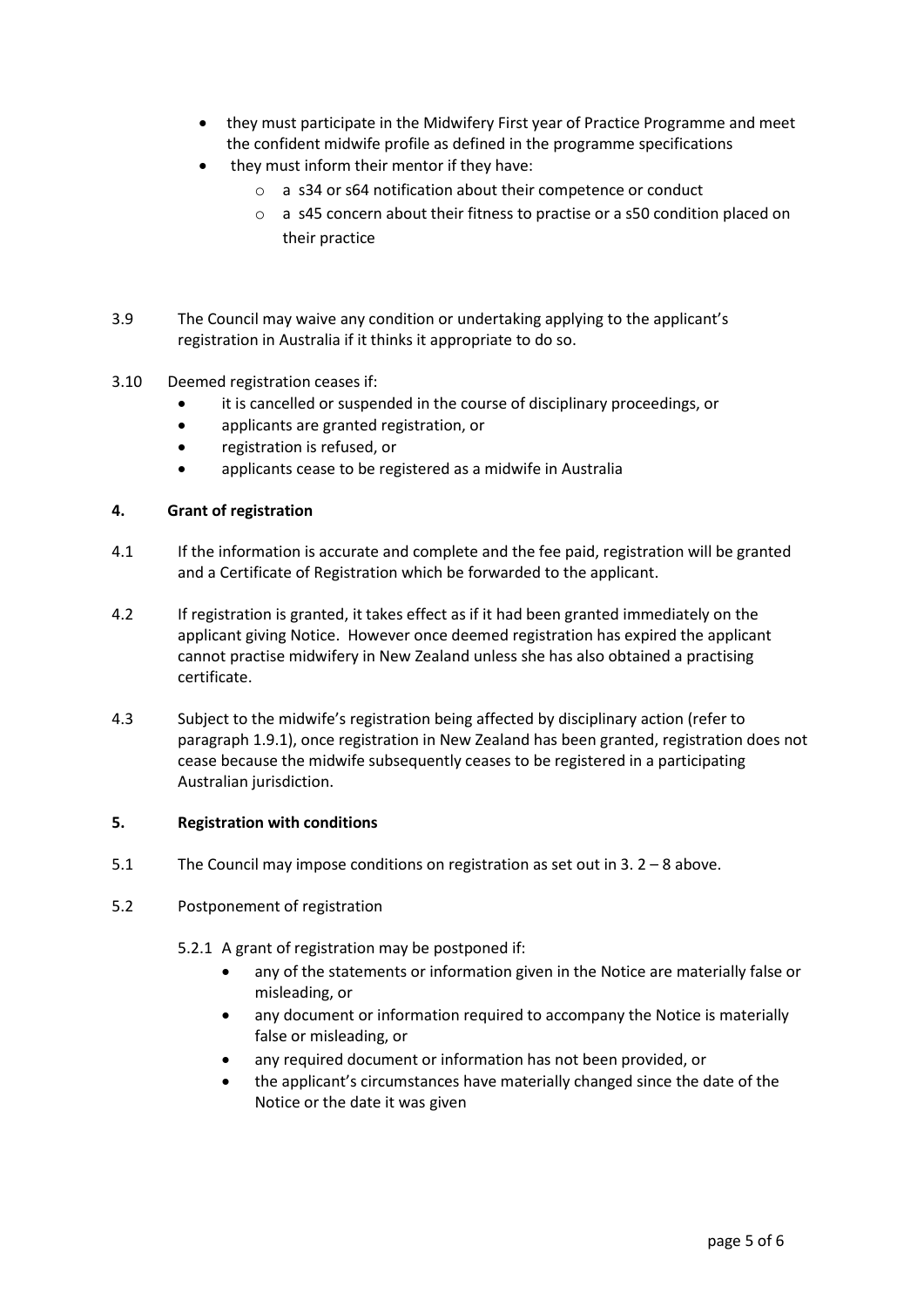- they must participate in the Midwifery First year of Practice Programme and meet the confident midwife profile as defined in the programme specifications
- they must inform their mentor if they have:
	- o a s34 or s64 notification about their competence or conduct
	- o a s45 concern about their fitness to practise or a s50 condition placed on their practice
- 3.9 The Council may waive any condition or undertaking applying to the applicant's registration in Australia if it thinks it appropriate to do so.
- 3.10 Deemed registration ceases if:
	- it is cancelled or suspended in the course of disciplinary proceedings, or
	- applicants are granted registration, or
	- registration is refused, or
	- applicants cease to be registered as a midwife in Australia

#### **4. Grant of registration**

- 4.1 If the information is accurate and complete and the fee paid, registration will be granted and a Certificate of Registration which be forwarded to the applicant.
- 4.2 If registration is granted, it takes effect as if it had been granted immediately on the applicant giving Notice. However once deemed registration has expired the applicant cannot practise midwifery in New Zealand unless she has also obtained a practising certificate.
- 4.3 Subject to the midwife's registration being affected by disciplinary action (refer to paragraph 1.9.1), once registration in New Zealand has been granted, registration does not cease because the midwife subsequently ceases to be registered in a participating Australian jurisdiction.

#### **5. Registration with conditions**

- 5.1 The Council may impose conditions on registration as set out in 3. 2 8 above.
- 5.2 Postponement of registration
	- 5.2.1 A grant of registration may be postponed if:
		- any of the statements or information given in the Notice are materially false or misleading, or
		- any document or information required to accompany the Notice is materially false or misleading, or
		- any required document or information has not been provided, or
		- the applicant's circumstances have materially changed since the date of the Notice or the date it was given